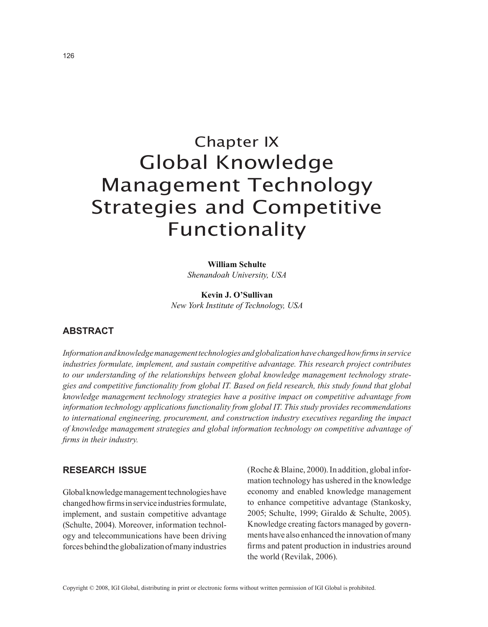# Chapter IX Global Knowledge Management Technology Strategies and Competitive Functionality

#### **William Schulte**

*Shenandoah University, USA*

**Kevin J. O'Sullivan** *New York Institute of Technology, USA*

### **ABSTRACT**

*Information and knowledge management technologies and globalization have changed how firms in service industries formulate, implement, and sustain competitive advantage. This research project contributes to our understanding of the relationships between global knowledge management technology strategies and competitive functionality from global IT. Based on field research, this study found that global knowledge management technology strategies have a positive impact on competitive advantage from information technology applications functionality from global IT. This study provides recommendations to international engineering, procurement, and construction industry executives regarding the impact of knowledge management strategies and global information technology on competitive advantage of firms in their industry.*

### **RESEARCH ISSUE**

Global knowledge management technologies have changed how firms in service industries formulate, implement, and sustain competitive advantage (Schulte, 2004). Moreover, information technology and telecommunications have been driving forces behind the globalization of many industries (Roche & Blaine, 2000). In addition, global information technology has ushered in the knowledge economy and enabled knowledge management to enhance competitive advantage (Stankosky, 2005; Schulte, 1999; Giraldo & Schulte, 2005). Knowledge creating factors managed by governments have also enhanced the innovation of many firms and patent production in industries around the world (Revilak, 2006).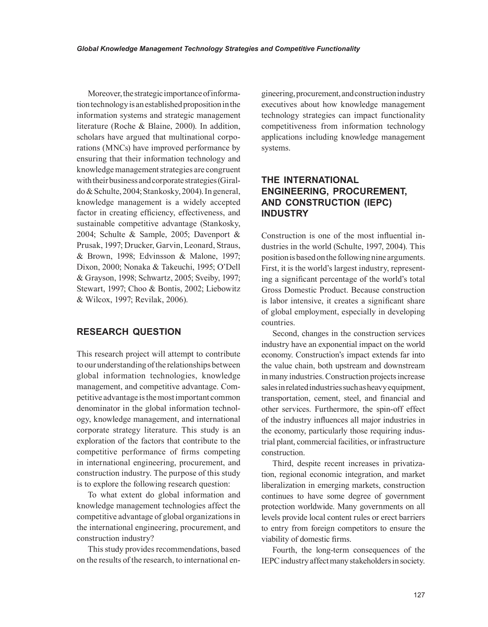Moreover, the strategic importance of information technology is an established proposition in the information systems and strategic management literature (Roche & Blaine, 2000). In addition, scholars have argued that multinational corporations (MNCs) have improved performance by ensuring that their information technology and knowledge management strategies are congruent with their business and corporate strategies (Giraldo & Schulte, 2004; Stankosky, 2004). In general, knowledge management is a widely accepted factor in creating efficiency, effectiveness, and sustainable competitive advantage (Stankosky, 2004; Schulte & Sample, 2005; Davenport & Prusak, 1997; Drucker, Garvin, Leonard, Straus, & Brown, 1998; Edvinsson & Malone, 1997; Dixon, 2000; Nonaka & Takeuchi, 1995; O'Dell & Grayson, 1998; Schwartz, 2005; Sveiby, 1997; Stewart, 1997; Choo & Bontis, 2002; Liebowitz & Wilcox, 1997; Revilak, 2006).

## **RESEARCH QUESTION**

This research project will attempt to contribute to our understanding of the relationships between global information technologies, knowledge management, and competitive advantage. Competitive advantage is the most important common denominator in the global information technology, knowledge management, and international corporate strategy literature. This study is an exploration of the factors that contribute to the competitive performance of firms competing in international engineering, procurement, and construction industry. The purpose of this study is to explore the following research question:

To what extent do global information and knowledge management technologies affect the competitive advantage of global organizations in the international engineering, procurement, and construction industry?

This study provides recommendations, based on the results of the research, to international en-

gineering, procurement, and construction industry executives about how knowledge management technology strategies can impact functionality competitiveness from information technology applications including knowledge management systems.

# **THE INTERNATIONAL ENGINEERING, PROCUREMENT, AND CONSTRUCTION (IEPC) INDUSTRY**

Construction is one of the most influential industries in the world (Schulte, 1997, 2004). This position is based on the following nine arguments. First, it is the world's largest industry, representing a significant percentage of the world's total Gross Domestic Product. Because construction is labor intensive, it creates a significant share of global employment, especially in developing countries.

Second, changes in the construction services industry have an exponential impact on the world economy. Construction's impact extends far into the value chain, both upstream and downstream in many industries. Construction projects increase sales in related industries such as heavy equipment, transportation, cement, steel, and financial and other services. Furthermore, the spin-off effect of the industry influences all major industries in the economy, particularly those requiring industrial plant, commercial facilities, or infrastructure construction.

Third, despite recent increases in privatization, regional economic integration, and market liberalization in emerging markets, construction continues to have some degree of government protection worldwide. Many governments on all levels provide local content rules or erect barriers to entry from foreign competitors to ensure the viability of domestic firms.

Fourth, the long-term consequences of the IEPC industry affect many stakeholders in society.